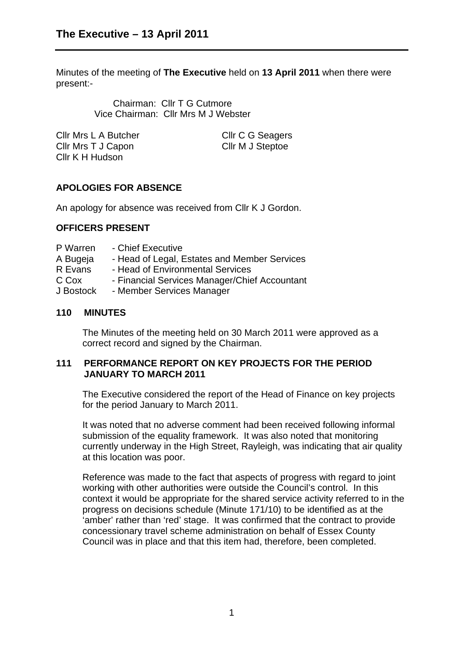Minutes of the meeting of **The Executive** held on **13 April 2011** when there were present:-

> Chairman: Cllr T G Cutmore Vice Chairman: Cllr Mrs M J Webster

| Cllr Mrs L A Butcher | Cllr C G Seagers |
|----------------------|------------------|
| Cllr Mrs T J Capon   | Cllr M J Steptoe |
| Cllr K H Hudson      |                  |

# **APOLOGIES FOR ABSENCE**

An apology for absence was received from Cllr K J Gordon.

## **OFFICERS PRESENT**

- P Warren Chief Executive
- A Bugeja Head of Legal, Estates and Member Services
- R Evans Head of Environmental Services
- C Cox Financial Services Manager/Chief Accountant
- J Bostock Member Services Manager

## **110 MINUTES**

The Minutes of the meeting held on 30 March 2011 were approved as a correct record and signed by the Chairman.

## **111 PERFORMANCE REPORT ON KEY PROJECTS FOR THE PERIOD JANUARY TO MARCH 2011**

The Executive considered the report of the Head of Finance on key projects for the period January to March 2011.

It was noted that no adverse comment had been received following informal submission of the equality framework. It was also noted that monitoring currently underway in the High Street, Rayleigh, was indicating that air quality at this location was poor.

Reference was made to the fact that aspects of progress with regard to joint working with other authorities were outside the Council's control. In this context it would be appropriate for the shared service activity referred to in the progress on decisions schedule (Minute 171/10) to be identified as at the 'amber' rather than 'red' stage. It was confirmed that the contract to provide concessionary travel scheme administration on behalf of Essex County Council was in place and that this item had, therefore, been completed.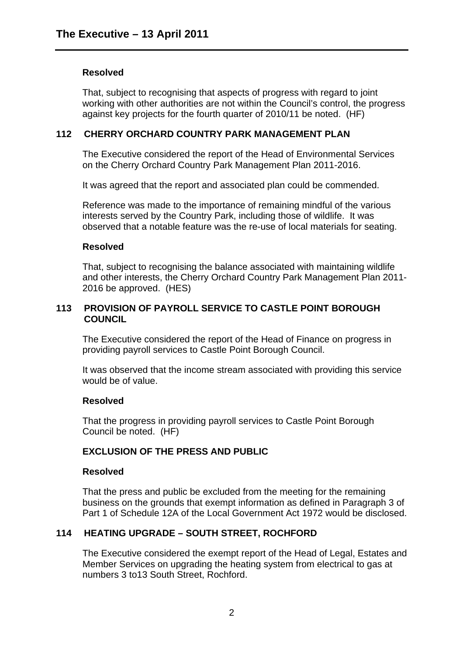### **Resolved**

That, subject to recognising that aspects of progress with regard to joint working with other authorities are not within the Council's control, the progress against key projects for the fourth quarter of 2010/11 be noted. (HF)

### **112 CHERRY ORCHARD COUNTRY PARK MANAGEMENT PLAN**

The Executive considered the report of the Head of Environmental Services on the Cherry Orchard Country Park Management Plan 2011-2016.

It was agreed that the report and associated plan could be commended.

Reference was made to the importance of remaining mindful of the various interests served by the Country Park, including those of wildlife. It was observed that a notable feature was the re-use of local materials for seating.

### **Resolved**

That, subject to recognising the balance associated with maintaining wildlife and other interests, the Cherry Orchard Country Park Management Plan 2011- 2016 be approved. (HES)

## **113 PROVISION OF PAYROLL SERVICE TO CASTLE POINT BOROUGH COUNCIL**

The Executive considered the report of the Head of Finance on progress in providing payroll services to Castle Point Borough Council.

It was observed that the income stream associated with providing this service would be of value.

#### **Resolved**

That the progress in providing payroll services to Castle Point Borough Council be noted. (HF)

## **EXCLUSION OF THE PRESS AND PUBLIC**

#### **Resolved**

That the press and public be excluded from the meeting for the remaining business on the grounds that exempt information as defined in Paragraph 3 of Part 1 of Schedule 12A of the Local Government Act 1972 would be disclosed.

## **114 HEATING UPGRADE – SOUTH STREET, ROCHFORD**

The Executive considered the exempt report of the Head of Legal, Estates and Member Services on upgrading the heating system from electrical to gas at numbers 3 to13 South Street, Rochford.